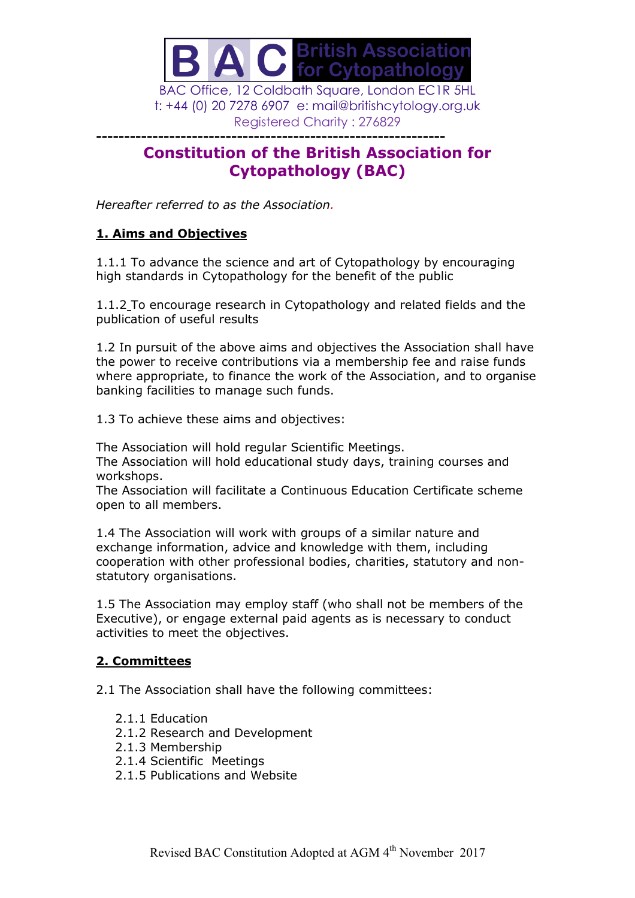

t: +44 (0) 20 7278 6907 e: mail@britishcytology.org.uk Registered Charity : 276829

## **-------------------------------------------------------------- Constitution of the British Association for Cytopathology (BAC)**

*Hereafter referred to as the Association.*

## **1. Aims and Objectives**

1.1.1 To advance the science and art of Cytopathology by encouraging high standards in Cytopathology for the benefit of the public

1.1.2 To encourage research in Cytopathology and related fields and the publication of useful results

1.2 In pursuit of the above aims and objectives the Association shall have the power to receive contributions via a membership fee and raise funds where appropriate, to finance the work of the Association, and to organise banking facilities to manage such funds.

1.3 To achieve these aims and objectives:

The Association will hold regular Scientific Meetings.

The Association will hold educational study days, training courses and workshops.

The Association will facilitate a Continuous Education Certificate scheme open to all members.

1.4 The Association will work with groups of a similar nature and exchange information, advice and knowledge with them, including cooperation with other professional bodies, charities, statutory and nonstatutory organisations.

1.5 The Association may employ staff (who shall not be members of the Executive), or engage external paid agents as is necessary to conduct activities to meet the objectives.

# **2. Committees**

2.1 The Association shall have the following committees:

- 2.1.1 Education
- 2.1.2 Research and Development
- 2.1.3 Membership
- 2.1.4 Scientific Meetings
- 2.1.5 Publications and Website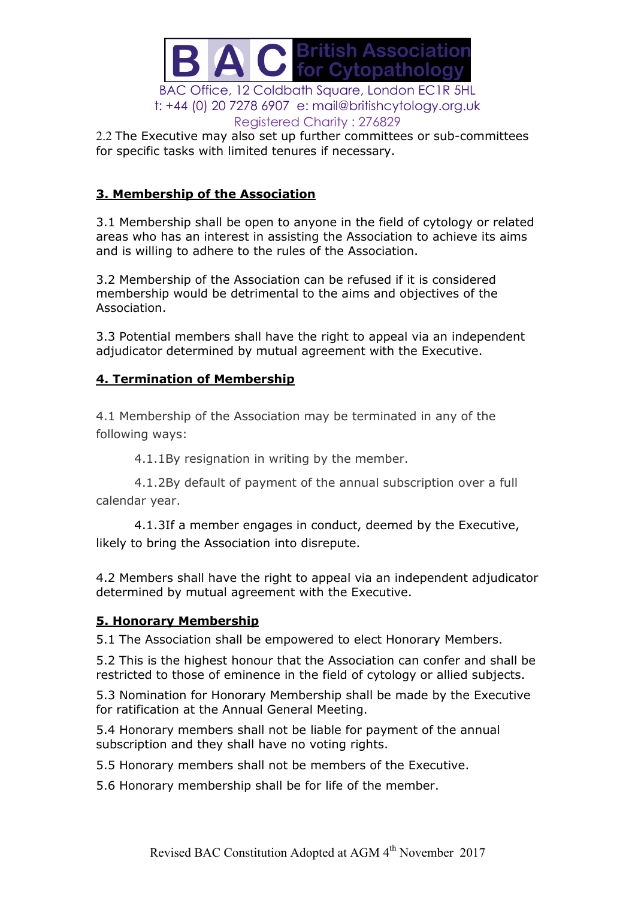

2.2 The Executive may also set up further committees or sub-committees for specific tasks with limited tenures if necessary.

## **3. Membership of the Association**

3.1 Membership shall be open to anyone in the field of cytology or related areas who has an interest in assisting the Association to achieve its aims and is willing to adhere to the rules of the Association.

3.2 Membership of the Association can be refused if it is considered membership would be detrimental to the aims and objectives of the Association.

3.3 Potential members shall have the right to appeal via an independent adjudicator determined by mutual agreement with the Executive.

## **4. Termination of Membership**

4.1 Membership of the Association may be terminated in any of the following ways:

4.1.1By resignation in writing by the member.

4.1.2By default of payment of the annual subscription over a full calendar year.

4.1.3If a member engages in conduct, deemed by the Executive, likely to bring the Association into disrepute.

4.2 Members shall have the right to appeal via an independent adjudicator determined by mutual agreement with the Executive.

## **5. Honorary Membership**

5.1 The Association shall be empowered to elect Honorary Members.

5.2 This is the highest honour that the Association can confer and shall be restricted to those of eminence in the field of cytology or allied subjects.

5.3 Nomination for Honorary Membership shall be made by the Executive for ratification at the Annual General Meeting.

5.4 Honorary members shall not be liable for payment of the annual subscription and they shall have no voting rights.

5.5 Honorary members shall not be members of the Executive.

5.6 Honorary membership shall be for life of the member.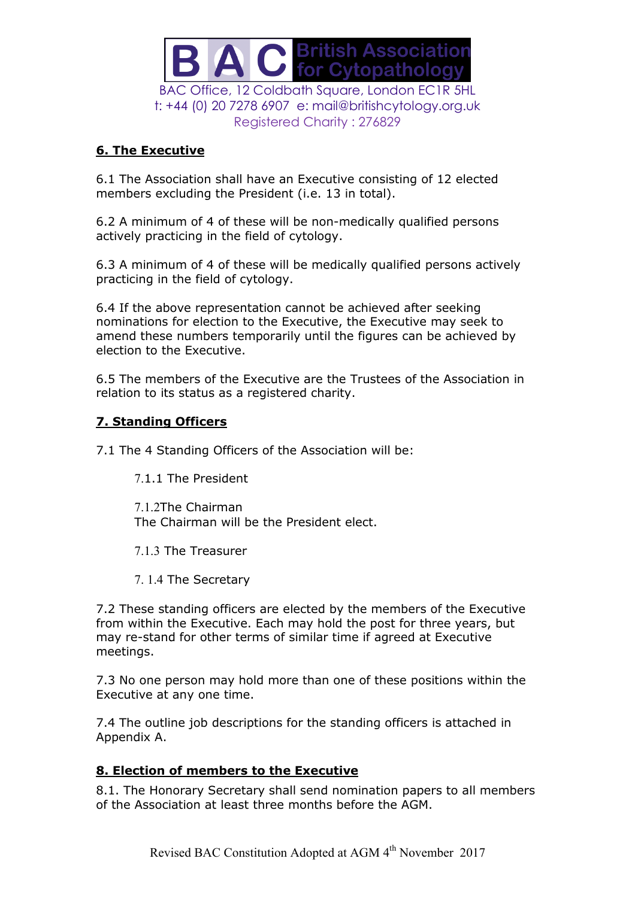

## **6. The Executive**

6.1 The Association shall have an Executive consisting of 12 elected members excluding the President (i.e. 13 in total).

6.2 A minimum of 4 of these will be non-medically qualified persons actively practicing in the field of cytology.

6.3 A minimum of 4 of these will be medically qualified persons actively practicing in the field of cytology.

6.4 If the above representation cannot be achieved after seeking nominations for election to the Executive, the Executive may seek to amend these numbers temporarily until the figures can be achieved by election to the Executive.

6.5 The members of the Executive are the Trustees of the Association in relation to its status as a registered charity.

## **7. Standing Officers**

7.1 The 4 Standing Officers of the Association will be:

7.1.1 The President

7.1.2The Chairman The Chairman will be the President elect.

- 7.1.3 The Treasurer
- 7. 1.4 The Secretary

7.2 These standing officers are elected by the members of the Executive from within the Executive. Each may hold the post for three years, but may re-stand for other terms of similar time if agreed at Executive meetings.

7.3 No one person may hold more than one of these positions within the Executive at any one time.

7.4 The outline job descriptions for the standing officers is attached in Appendix A.

## **8. Election of members to the Executive**

8.1. The Honorary Secretary shall send nomination papers to all members of the Association at least three months before the AGM.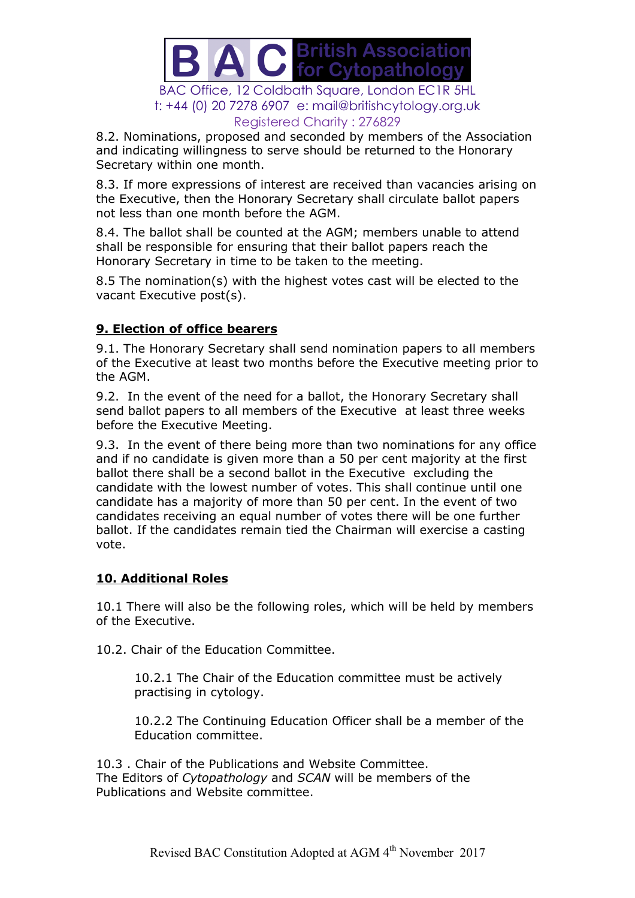

8.2. Nominations, proposed and seconded by members of the Association and indicating willingness to serve should be returned to the Honorary Secretary within one month.

8.3. If more expressions of interest are received than vacancies arising on the Executive, then the Honorary Secretary shall circulate ballot papers not less than one month before the AGM.

8.4. The ballot shall be counted at the AGM; members unable to attend shall be responsible for ensuring that their ballot papers reach the Honorary Secretary in time to be taken to the meeting.

8.5 The nomination(s) with the highest votes cast will be elected to the vacant Executive post(s).

#### **9. Election of office bearers**

9.1. The Honorary Secretary shall send nomination papers to all members of the Executive at least two months before the Executive meeting prior to the AGM.

9.2. In the event of the need for a ballot, the Honorary Secretary shall send ballot papers to all members of the Executive at least three weeks before the Executive Meeting.

9.3. In the event of there being more than two nominations for any office and if no candidate is given more than a 50 per cent majority at the first ballot there shall be a second ballot in the Executive excluding the candidate with the lowest number of votes. This shall continue until one candidate has a majority of more than 50 per cent. In the event of two candidates receiving an equal number of votes there will be one further ballot. If the candidates remain tied the Chairman will exercise a casting vote.

## **10. Additional Roles**

10.1 There will also be the following roles, which will be held by members of the Executive.

10.2. Chair of the Education Committee.

10.2.1 The Chair of the Education committee must be actively practising in cytology.

10.2.2 The Continuing Education Officer shall be a member of the Education committee.

10.3 . Chair of the Publications and Website Committee. The Editors of *Cytopathology* and *SCAN* will be members of the Publications and Website committee.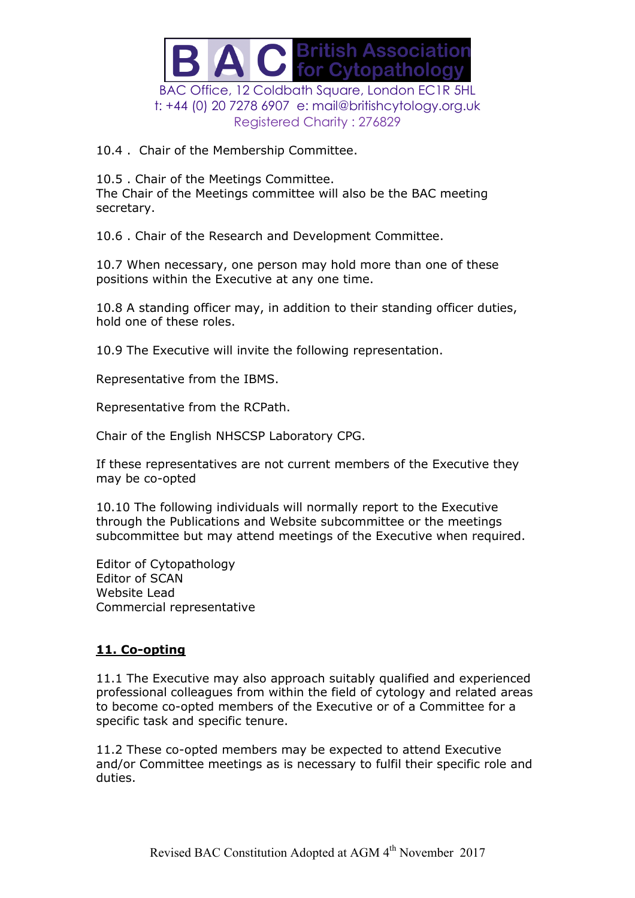

10.4 . Chair of the Membership Committee.

10.5 . Chair of the Meetings Committee. The Chair of the Meetings committee will also be the BAC meeting secretary.

10.6 . Chair of the Research and Development Committee.

10.7 When necessary, one person may hold more than one of these positions within the Executive at any one time.

10.8 A standing officer may, in addition to their standing officer duties, hold one of these roles.

10.9 The Executive will invite the following representation.

Representative from the IBMS.

Representative from the RCPath.

Chair of the English NHSCSP Laboratory CPG.

If these representatives are not current members of the Executive they may be co-opted

10.10 The following individuals will normally report to the Executive through the Publications and Website subcommittee or the meetings subcommittee but may attend meetings of the Executive when required.

Editor of Cytopathology Editor of SCAN Website Lead Commercial representative

## **11. Co-opting**

11.1 The Executive may also approach suitably qualified and experienced professional colleagues from within the field of cytology and related areas to become co-opted members of the Executive or of a Committee for a specific task and specific tenure.

11.2 These co-opted members may be expected to attend Executive and/or Committee meetings as is necessary to fulfil their specific role and duties.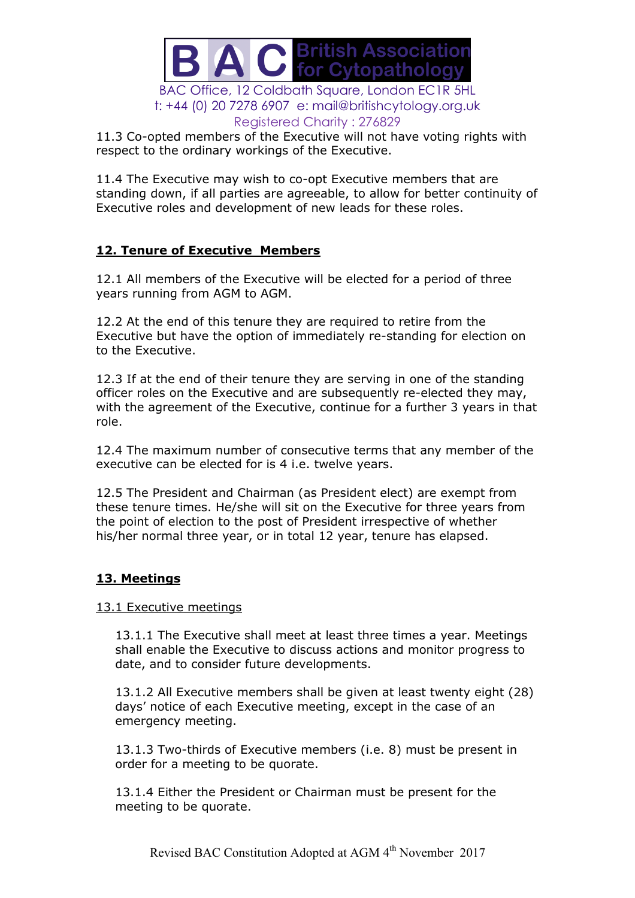

11.3 Co-opted members of the Executive will not have voting rights with respect to the ordinary workings of the Executive.

11.4 The Executive may wish to co-opt Executive members that are standing down, if all parties are agreeable, to allow for better continuity of Executive roles and development of new leads for these roles.

## **12. Tenure of Executive Members**

12.1 All members of the Executive will be elected for a period of three years running from AGM to AGM.

12.2 At the end of this tenure they are required to retire from the Executive but have the option of immediately re-standing for election on to the Executive.

12.3 If at the end of their tenure they are serving in one of the standing officer roles on the Executive and are subsequently re-elected they may, with the agreement of the Executive, continue for a further 3 years in that role.

12.4 The maximum number of consecutive terms that any member of the executive can be elected for is 4 i.e. twelve years.

12.5 The President and Chairman (as President elect) are exempt from these tenure times. He/she will sit on the Executive for three years from the point of election to the post of President irrespective of whether his/her normal three year, or in total 12 year, tenure has elapsed.

## **13. Meetings**

13.1 Executive meetings

13.1.1 The Executive shall meet at least three times a year. Meetings shall enable the Executive to discuss actions and monitor progress to date, and to consider future developments.

13.1.2 All Executive members shall be given at least twenty eight (28) days' notice of each Executive meeting, except in the case of an emergency meeting.

13.1.3 Two-thirds of Executive members (i.e. 8) must be present in order for a meeting to be quorate.

13.1.4 Either the President or Chairman must be present for the meeting to be quorate.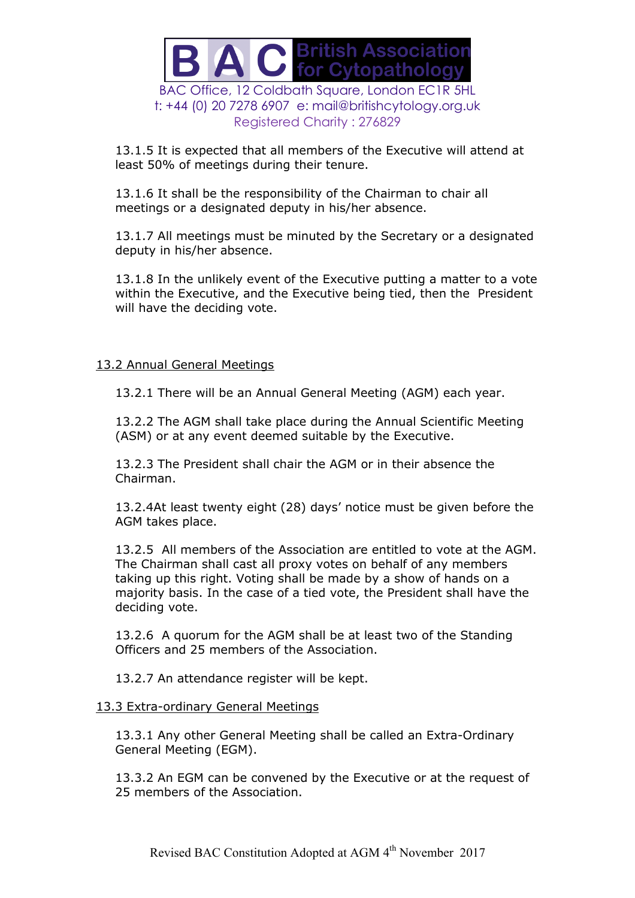

13.1.5 It is expected that all members of the Executive will attend at least 50% of meetings during their tenure.

13.1.6 It shall be the responsibility of the Chairman to chair all meetings or a designated deputy in his/her absence.

13.1.7 All meetings must be minuted by the Secretary or a designated deputy in his/her absence.

13.1.8 In the unlikely event of the Executive putting a matter to a vote within the Executive, and the Executive being tied, then the President will have the deciding vote.

#### 13.2 Annual General Meetings

13.2.1 There will be an Annual General Meeting (AGM) each year.

13.2.2 The AGM shall take place during the Annual Scientific Meeting (ASM) or at any event deemed suitable by the Executive.

13.2.3 The President shall chair the AGM or in their absence the Chairman.

13.2.4At least twenty eight (28) days' notice must be given before the AGM takes place.

13.2.5 All members of the Association are entitled to vote at the AGM. The Chairman shall cast all proxy votes on behalf of any members taking up this right. Voting shall be made by a show of hands on a majority basis. In the case of a tied vote, the President shall have the deciding vote.

13.2.6 A quorum for the AGM shall be at least two of the Standing Officers and 25 members of the Association.

13.2.7 An attendance register will be kept.

#### 13.3 Extra-ordinary General Meetings

13.3.1 Any other General Meeting shall be called an Extra-Ordinary General Meeting (EGM).

13.3.2 An EGM can be convened by the Executive or at the request of 25 members of the Association.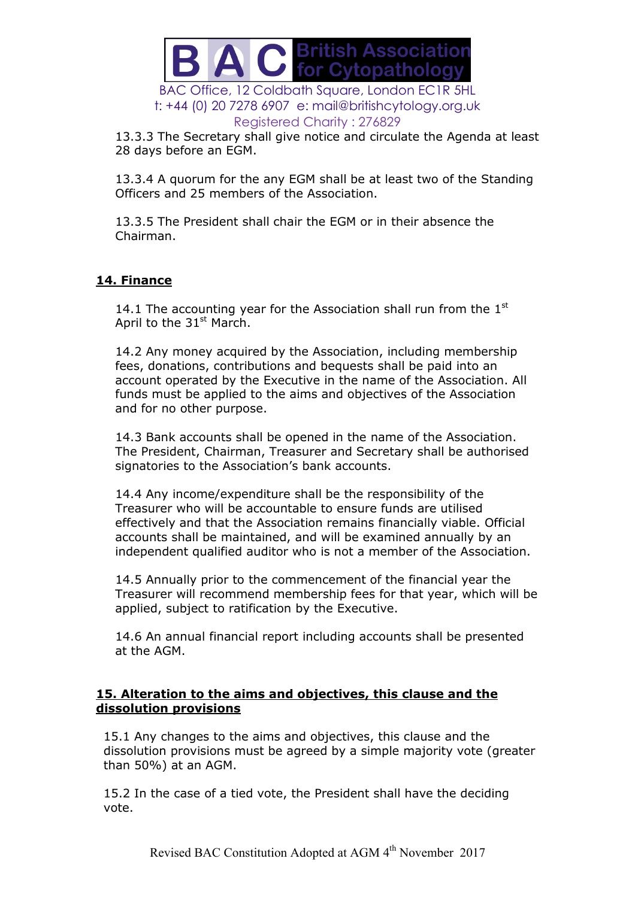

13.3.3 The Secretary shall give notice and circulate the Agenda at least 28 days before an EGM.

13.3.4 A quorum for the any EGM shall be at least two of the Standing Officers and 25 members of the Association.

13.3.5 The President shall chair the EGM or in their absence the Chairman.

## **14. Finance**

14.1 The accounting year for the Association shall run from the  $1<sup>st</sup>$ April to the  $31<sup>st</sup>$  March.

14.2 Any money acquired by the Association, including membership fees, donations, contributions and bequests shall be paid into an account operated by the Executive in the name of the Association. All funds must be applied to the aims and objectives of the Association and for no other purpose.

14.3 Bank accounts shall be opened in the name of the Association. The President, Chairman, Treasurer and Secretary shall be authorised signatories to the Association's bank accounts.

14.4 Any income/expenditure shall be the responsibility of the Treasurer who will be accountable to ensure funds are utilised effectively and that the Association remains financially viable. Official accounts shall be maintained, and will be examined annually by an independent qualified auditor who is not a member of the Association.

14.5 Annually prior to the commencement of the financial year the Treasurer will recommend membership fees for that year, which will be applied, subject to ratification by the Executive.

14.6 An annual financial report including accounts shall be presented at the AGM.

#### **15. Alteration to the aims and objectives, this clause and the dissolution provisions**

15.1 Any changes to the aims and objectives, this clause and the dissolution provisions must be agreed by a simple majority vote (greater than 50%) at an AGM.

15.2 In the case of a tied vote, the President shall have the deciding vote.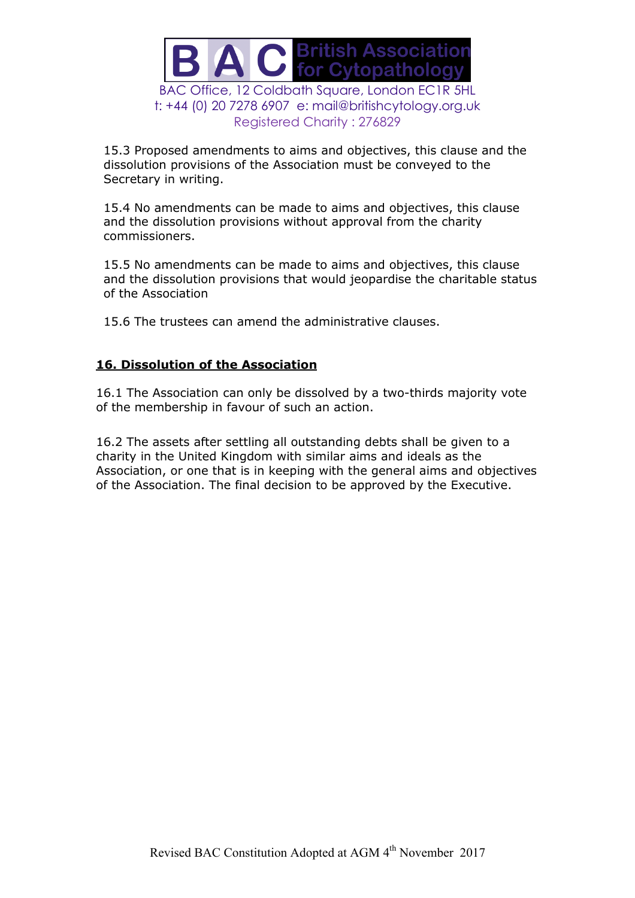

15.3 Proposed amendments to aims and objectives, this clause and the dissolution provisions of the Association must be conveyed to the Secretary in writing.

15.4 No amendments can be made to aims and objectives, this clause and the dissolution provisions without approval from the charity commissioners.

15.5 No amendments can be made to aims and objectives, this clause and the dissolution provisions that would jeopardise the charitable status of the Association

15.6 The trustees can amend the administrative clauses.

## **16. Dissolution of the Association**

16.1 The Association can only be dissolved by a two-thirds majority vote of the membership in favour of such an action.

16.2 The assets after settling all outstanding debts shall be given to a charity in the United Kingdom with similar aims and ideals as the Association, or one that is in keeping with the general aims and objectives of the Association. The final decision to be approved by the Executive.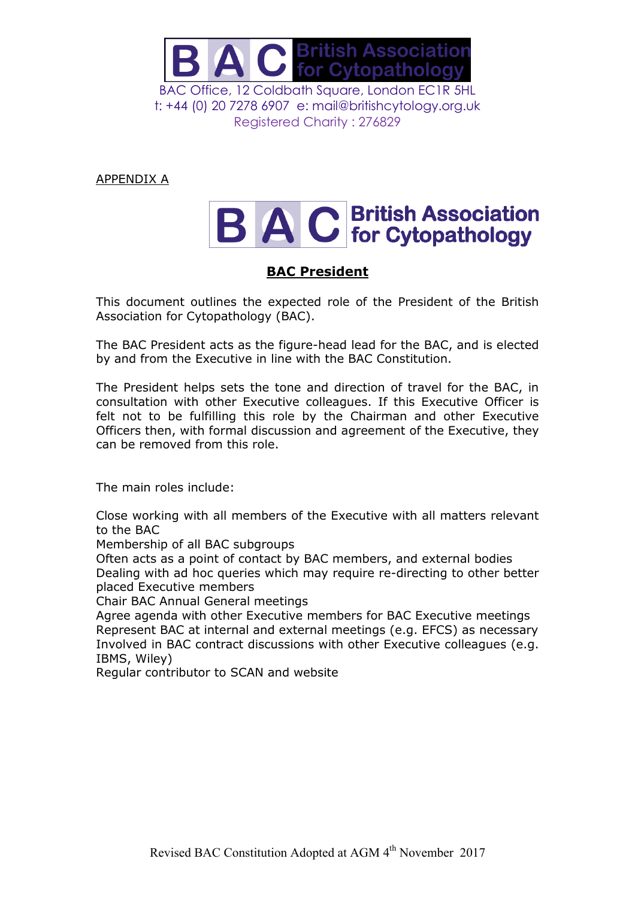

APPENDIX A

# **B A C British Association**

# **BAC President**

This document outlines the expected role of the President of the British Association for Cytopathology (BAC).

The BAC President acts as the figure-head lead for the BAC, and is elected by and from the Executive in line with the BAC Constitution.

The President helps sets the tone and direction of travel for the BAC, in consultation with other Executive colleagues. If this Executive Officer is felt not to be fulfilling this role by the Chairman and other Executive Officers then, with formal discussion and agreement of the Executive, they can be removed from this role.

The main roles include:

Close working with all members of the Executive with all matters relevant to the BAC

Membership of all BAC subgroups

Often acts as a point of contact by BAC members, and external bodies Dealing with ad hoc queries which may require re-directing to other better placed Executive members

Chair BAC Annual General meetings

Agree agenda with other Executive members for BAC Executive meetings Represent BAC at internal and external meetings (e.g. EFCS) as necessary Involved in BAC contract discussions with other Executive colleagues (e.g. IBMS, Wiley)

Regular contributor to SCAN and website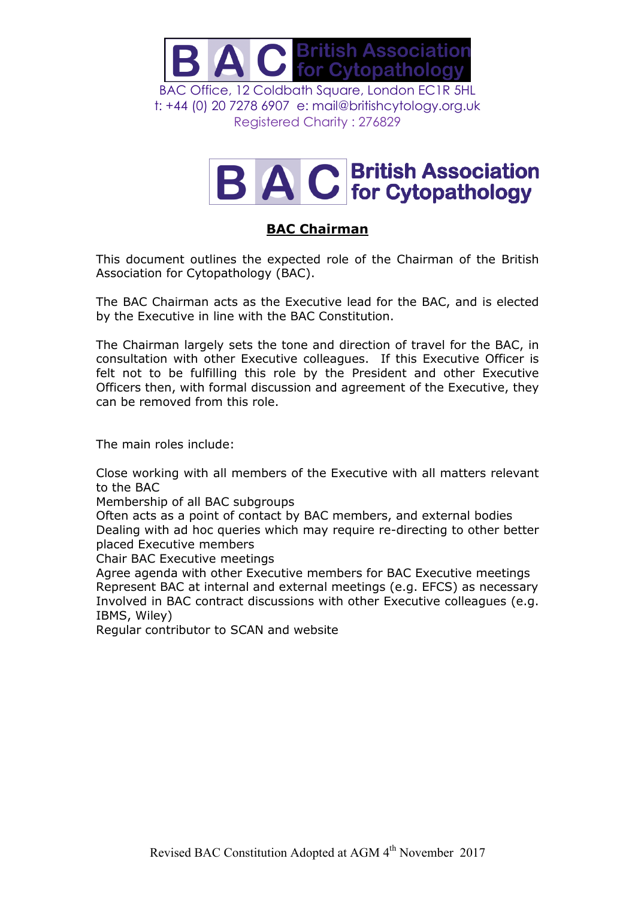

# **B A C British Association**

# **BAC Chairman**

This document outlines the expected role of the Chairman of the British Association for Cytopathology (BAC).

The BAC Chairman acts as the Executive lead for the BAC, and is elected by the Executive in line with the BAC Constitution.

The Chairman largely sets the tone and direction of travel for the BAC, in consultation with other Executive colleagues. If this Executive Officer is felt not to be fulfilling this role by the President and other Executive Officers then, with formal discussion and agreement of the Executive, they can be removed from this role.

The main roles include:

Close working with all members of the Executive with all matters relevant to the BAC

Membership of all BAC subgroups

Often acts as a point of contact by BAC members, and external bodies Dealing with ad hoc queries which may require re-directing to other better placed Executive members

Chair BAC Executive meetings

Agree agenda with other Executive members for BAC Executive meetings Represent BAC at internal and external meetings (e.g. EFCS) as necessary Involved in BAC contract discussions with other Executive colleagues (e.g. IBMS, Wiley)

Regular contributor to SCAN and website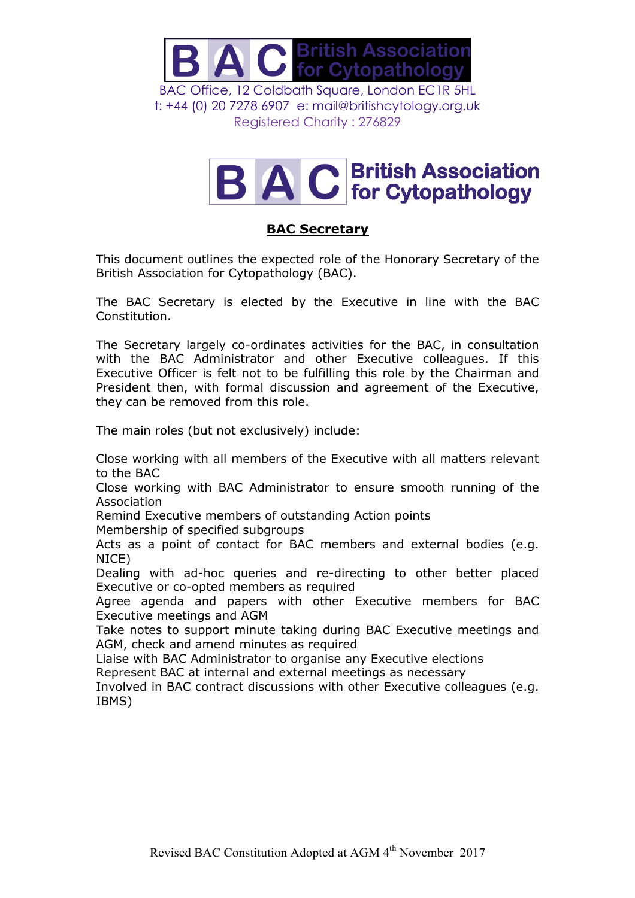

# **B A C British Association**

# **BAC Secretary**

This document outlines the expected role of the Honorary Secretary of the British Association for Cytopathology (BAC).

The BAC Secretary is elected by the Executive in line with the BAC Constitution.

The Secretary largely co-ordinates activities for the BAC, in consultation with the BAC Administrator and other Executive colleagues. If this Executive Officer is felt not to be fulfilling this role by the Chairman and President then, with formal discussion and agreement of the Executive, they can be removed from this role.

The main roles (but not exclusively) include:

Close working with all members of the Executive with all matters relevant to the BAC

Close working with BAC Administrator to ensure smooth running of the Association

Remind Executive members of outstanding Action points

Membership of specified subgroups

Acts as a point of contact for BAC members and external bodies (e.g. NICE)

Dealing with ad-hoc queries and re-directing to other better placed Executive or co-opted members as required

Agree agenda and papers with other Executive members for BAC Executive meetings and AGM

Take notes to support minute taking during BAC Executive meetings and AGM, check and amend minutes as required

Liaise with BAC Administrator to organise any Executive elections

Represent BAC at internal and external meetings as necessary

Involved in BAC contract discussions with other Executive colleagues (e.g. IBMS)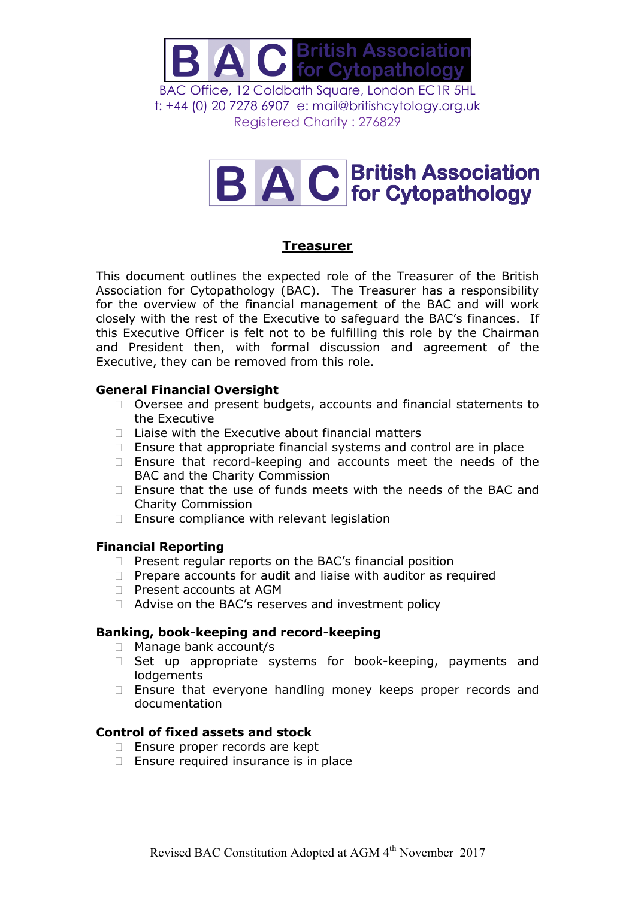

# **B A C** British Association

## **Treasurer**

This document outlines the expected role of the Treasurer of the British Association for Cytopathology (BAC). The Treasurer has a responsibility for the overview of the financial management of the BAC and will work closely with the rest of the Executive to safeguard the BAC's finances. If this Executive Officer is felt not to be fulfilling this role by the Chairman and President then, with formal discussion and agreement of the Executive, they can be removed from this role.

## **General Financial Oversight**

- □ Oversee and present budgets, accounts and financial statements to the Executive
- $\Box$  Liaise with the Executive about financial matters
- $\Box$  Ensure that appropriate financial systems and control are in place
- $\Box$  Ensure that record-keeping and accounts meet the needs of the BAC and the Charity Commission
- $\Box$  Ensure that the use of funds meets with the needs of the BAC and Charity Commission
- $\Box$  Ensure compliance with relevant legislation

#### **Financial Reporting**

- $\Box$  Present regular reports on the BAC's financial position
- $\Box$  Prepare accounts for audit and liaise with auditor as required
- □ Present accounts at AGM
- □ Advise on the BAC's reserves and investment policy

#### **Banking, book-keeping and record-keeping**

- □ Manage bank account/s
- $\Box$  Set up appropriate systems for book-keeping, payments and **lodgements**
- □ Ensure that everyone handling money keeps proper records and documentation

#### **Control of fixed assets and stock**

- □ Ensure proper records are kept
- $\Box$  Ensure required insurance is in place